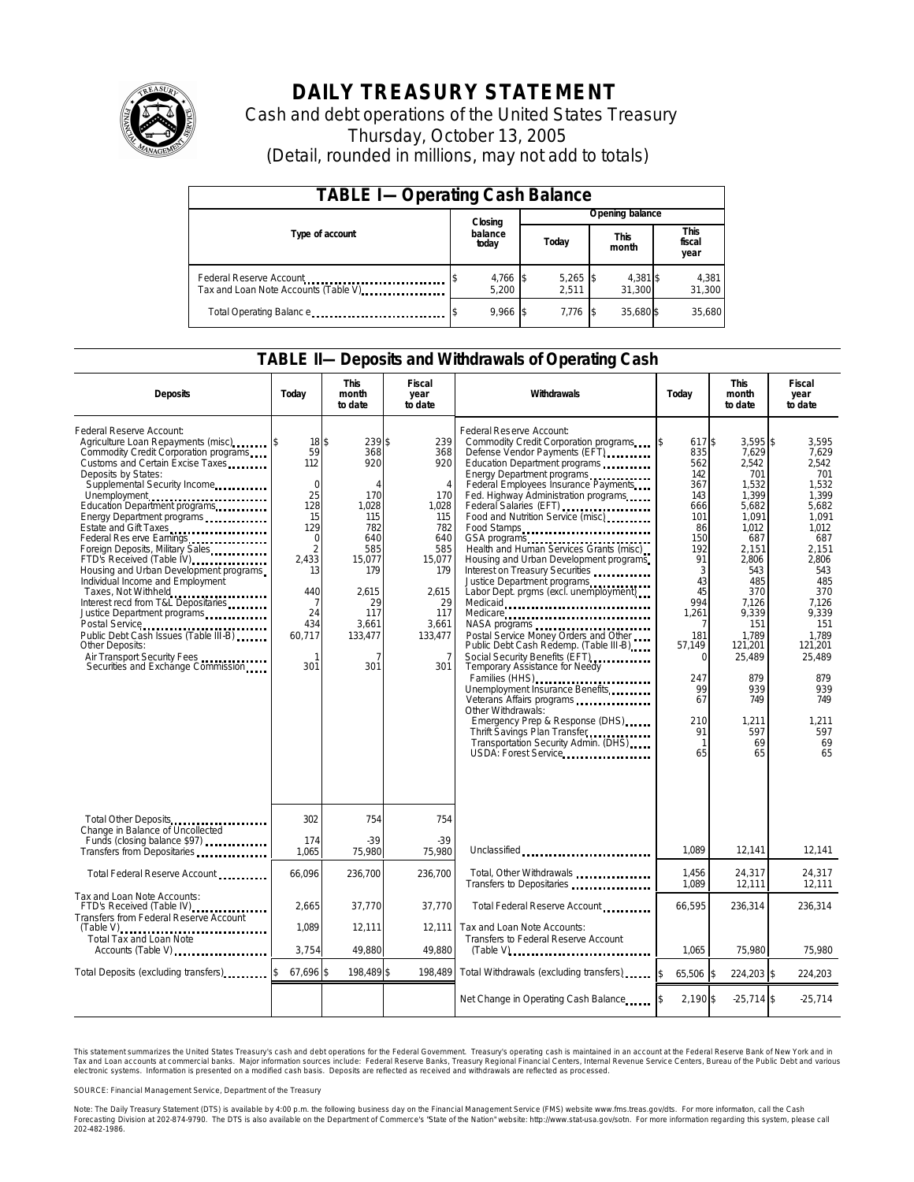

# **DAILY TREASURY STATEMENT**

Cash and debt operations of the United States Treasury Thursday, October 13, 2005 (Detail, rounded in millions, may not add to totals)

| <b>TABLE I-Operating Cash Balance</b>                                              |                             |                   |                 |                     |  |                      |  |                        |
|------------------------------------------------------------------------------------|-----------------------------|-------------------|-----------------|---------------------|--|----------------------|--|------------------------|
|                                                                                    | Closing<br>balance<br>today |                   | Opening balance |                     |  |                      |  |                        |
| Type of account                                                                    |                             |                   |                 | Today               |  | <b>This</b><br>month |  | This<br>fiscal<br>year |
| Federal Reserve Account<br>Tax and Loan Note Accounts (Table V). The manuscript of |                             | 4,766 \$<br>5.200 |                 | $5,265$ \$<br>2.511 |  | 4,381 \$<br>31.300   |  | 4,381<br>31,300        |
| Total Operating Balance                                                            |                             | $9.966$ \$        |                 | 7.776               |  | 35.680\$             |  | 35.680                 |

### **TABLE II—Deposits and Withdrawals of Operating Cash**

| <b>Deposits</b>                                                                                                                                                                                                                                                                                                                                                                                                                                                                                                                                                                                                                                                     | Today                                                                                                                                                            | <b>This</b><br>month<br>to date                                                                                                                     | Fiscal<br>year<br>to date                                                                                                                                           | Withdrawals                                                                                                                                                                                                                                                                                                                                                                                                                                                                                                                                                                                                                                                                                                                                                                                                                                                                                                                                    | Today                                                                                                                                                                                                                 | <b>This</b><br>month<br>to date                                                                                                                                                                                                        | Fiscal<br>year<br>to date                                                                                                                                                                                                         |
|---------------------------------------------------------------------------------------------------------------------------------------------------------------------------------------------------------------------------------------------------------------------------------------------------------------------------------------------------------------------------------------------------------------------------------------------------------------------------------------------------------------------------------------------------------------------------------------------------------------------------------------------------------------------|------------------------------------------------------------------------------------------------------------------------------------------------------------------|-----------------------------------------------------------------------------------------------------------------------------------------------------|---------------------------------------------------------------------------------------------------------------------------------------------------------------------|------------------------------------------------------------------------------------------------------------------------------------------------------------------------------------------------------------------------------------------------------------------------------------------------------------------------------------------------------------------------------------------------------------------------------------------------------------------------------------------------------------------------------------------------------------------------------------------------------------------------------------------------------------------------------------------------------------------------------------------------------------------------------------------------------------------------------------------------------------------------------------------------------------------------------------------------|-----------------------------------------------------------------------------------------------------------------------------------------------------------------------------------------------------------------------|----------------------------------------------------------------------------------------------------------------------------------------------------------------------------------------------------------------------------------------|-----------------------------------------------------------------------------------------------------------------------------------------------------------------------------------------------------------------------------------|
| Federal Reserve Account:<br>Agriculture Loan Repayments (misc)<br>Commodity Credit Corporation programs<br>Customs and Certain Excise Taxes<br>Deposits by States:<br>Supplemental Security Income<br>Energy Department programs<br>Estate and Gift Taxes<br>Federal Res erve Earnings<br>Foreign Deposits, Military Sales<br>FTD's Received (Table IV)<br>Housing and Urban Development programs<br>Individual Income and Employment<br>Taxes, Not Withheld<br>Interest recd from T&L Depositaries<br>Justice Department programs<br>Public Debt Cash Issues (Table III-B)<br>Other Deposits:<br>Air Transport Security Fees<br>Securities and Exchange Commission | $18$ \$<br>59<br>112<br>$\overline{0}$<br>25<br>128<br>15<br>129<br>$\mathbf 0$<br>$\overline{2}$<br>2.433<br>13<br>440<br>7<br>24<br>434<br>60,717<br>-1<br>301 | 239\$<br>368<br>920<br>$\overline{A}$<br>170<br>1,028<br>115<br>782<br>640<br>585<br>15,077<br>179<br>2.615<br>29<br>117<br>3,661<br>133,477<br>301 | 239<br>368<br>920<br>$\overline{4}$<br>170<br>1,028<br>115<br>782<br>640<br>585<br>15,077<br>179<br>2.615<br>29<br>117<br>3,661<br>133,477<br>$\overline{7}$<br>301 | Federal Reserve Account:<br>Commodity Credit Corporation programs<br>Defense Vendor Payments (EFT)<br>Education Department programs<br>Energy Department programs<br>Federal Employees Insurance Payments<br>Fed. Highway Administration programs<br>Federal Salaries (EFT)<br>Food and Nutrition Service (misc)<br>Food Stamps<br>GSA programs<br>Health and Human Services Grants (misc)<br>Housing and Urban Development programs<br>Interest on Treasury Securities<br>Justice Department programs<br>Labor Dept. prgms (excl. unemployment)<br>Medicaid<br>Medicare<br>Postal Service Money Orders and Other<br>Public Debt Cash Redemp. (Table III-B)<br>Social Security Benefits (EFT)<br>Temporary Assistance for Needy<br>Families (HHS)<br>Unemployment Insurance Benefits<br>Other Withdrawals:<br>Emergency Prep & Response (DHS)<br>Thrift Savings Plan Transfer.<br>Transportation Security Admin. (DHS)<br>USDA: Forest Service | 617\$<br><sup>\$</sup><br>835<br>562<br>142<br>367<br>143<br>666<br>101<br>86<br>150<br>192<br>91<br>3<br>43<br>45<br>994<br>1,261<br>181<br>57,149<br>$\Omega$<br>247<br>99<br>67<br>210<br>91<br>$\mathbf{1}$<br>65 | $3.595$ \$<br>7,629<br>2,542<br>701<br>1,532<br>1,399<br>5,682<br>1,091<br>1.012<br>687<br>2.151<br>2,806<br>543<br>485<br>370<br>7,126<br>9,339<br>151<br>1,789<br>121,201<br>25,489<br>879<br>939<br>749<br>1.211<br>597<br>69<br>65 | 3,595<br>7.629<br>2.542<br>701<br>1,532<br>1,399<br>5,682<br>1,091<br>1.012<br>687<br>2.151<br>2,806<br>543<br>485<br>370<br>7.126<br>9,339<br>151<br>1.789<br>121,201<br>25,489<br>879<br>939<br>749<br>1.211<br>597<br>69<br>65 |
| Total Other Deposits<br>Change in Balance of Uncollected                                                                                                                                                                                                                                                                                                                                                                                                                                                                                                                                                                                                            | 302                                                                                                                                                              | 754                                                                                                                                                 | 754                                                                                                                                                                 |                                                                                                                                                                                                                                                                                                                                                                                                                                                                                                                                                                                                                                                                                                                                                                                                                                                                                                                                                |                                                                                                                                                                                                                       |                                                                                                                                                                                                                                        |                                                                                                                                                                                                                                   |
| Funds (closing balance \$97)                                                                                                                                                                                                                                                                                                                                                                                                                                                                                                                                                                                                                                        | 174<br>1,065                                                                                                                                                     | $-39$<br>75,980                                                                                                                                     | $-39$<br>75,980                                                                                                                                                     | Unclassified                                                                                                                                                                                                                                                                                                                                                                                                                                                                                                                                                                                                                                                                                                                                                                                                                                                                                                                                   | 1.089                                                                                                                                                                                                                 | 12.141                                                                                                                                                                                                                                 | 12,141                                                                                                                                                                                                                            |
| Total Federal Reserve Account                                                                                                                                                                                                                                                                                                                                                                                                                                                                                                                                                                                                                                       | 66,096                                                                                                                                                           | 236,700                                                                                                                                             | 236.700                                                                                                                                                             | Total, Other Withdrawals<br>Transfers to Depositaries                                                                                                                                                                                                                                                                                                                                                                                                                                                                                                                                                                                                                                                                                                                                                                                                                                                                                          | 1,456<br>1.089                                                                                                                                                                                                        | 24,317<br>12,111                                                                                                                                                                                                                       | 24,317<br>12,111                                                                                                                                                                                                                  |
| Tax and Loan Note Accounts:<br>FTD's Received (Table IV)<br>Transfers from Federal Reserve Account                                                                                                                                                                                                                                                                                                                                                                                                                                                                                                                                                                  | 2.665                                                                                                                                                            | 37.770                                                                                                                                              | 37.770                                                                                                                                                              | Total Federal Reserve Account                                                                                                                                                                                                                                                                                                                                                                                                                                                                                                                                                                                                                                                                                                                                                                                                                                                                                                                  | 66.595                                                                                                                                                                                                                | 236,314                                                                                                                                                                                                                                | 236.314                                                                                                                                                                                                                           |
| $(Table V)$<br><br>Total Tax and Loan Note<br>Accounts (Table V)                                                                                                                                                                                                                                                                                                                                                                                                                                                                                                                                                                                                    | 1,089<br>3,754                                                                                                                                                   | 12,111<br>49,880                                                                                                                                    | 12,111<br>49,880                                                                                                                                                    | Tax and Loan Note Accounts:<br>Transfers to Federal Reserve Account<br>$(Table V)$ ,                                                                                                                                                                                                                                                                                                                                                                                                                                                                                                                                                                                                                                                                                                                                                                                                                                                           | 1,065                                                                                                                                                                                                                 | 75,980                                                                                                                                                                                                                                 | 75,980                                                                                                                                                                                                                            |
| Total Deposits (excluding transfers)                                                                                                                                                                                                                                                                                                                                                                                                                                                                                                                                                                                                                                | 67,696 \$                                                                                                                                                        | 198,489 \$                                                                                                                                          | 198.489                                                                                                                                                             | Total Withdrawals (excluding transfers)                                                                                                                                                                                                                                                                                                                                                                                                                                                                                                                                                                                                                                                                                                                                                                                                                                                                                                        | 65,506 \$<br><sup>\$</sup>                                                                                                                                                                                            | 224,203 \$                                                                                                                                                                                                                             | 224,203                                                                                                                                                                                                                           |
|                                                                                                                                                                                                                                                                                                                                                                                                                                                                                                                                                                                                                                                                     |                                                                                                                                                                  |                                                                                                                                                     |                                                                                                                                                                     | Net Change in Operating Cash Balance                                                                                                                                                                                                                                                                                                                                                                                                                                                                                                                                                                                                                                                                                                                                                                                                                                                                                                           | $2,190$ \$                                                                                                                                                                                                            | $-25,714$ \$                                                                                                                                                                                                                           | $-25,714$                                                                                                                                                                                                                         |

This statement summarizes the United States Treasury's cash and debt operations for the Federal Government. Treasury's operating cash is maintained in an account at the Federal Reserve Bank of New York and in Tax and Loan accounts at commercial banks. Major information sources include: Federal Reserve Banks, Treasury Regional Financial Centers, Internal Revenue Service Centers, Bureau of the Public Debt and various<br>electronic s

SOURCE: Financial Management Service, Department of the Treasury

Note: The Daily Treasury Statement (DTS) is available by 4:00 p.m. the following business day on the Financial Management Service (FMS) website www.fms.treas.gov/dts. For more informaton, call the Cash<br>Forecasting Division 'S) is available by 4:00 p.m. the following business day on the Financial Management Service (FMS) website www.fms.treas.gov/dts. For more information, call the Cash<br>The DTS is also available on the Department of Commerce'